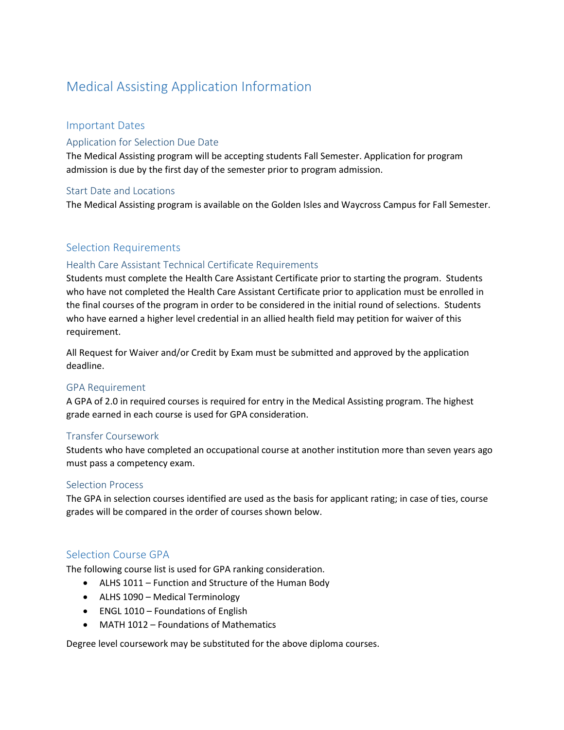# Medical Assisting Application Information

# Important Dates

# Application for Selection Due Date

The Medical Assisting program will be accepting students Fall Semester. Application for program admission is due by the first day of the semester prior to program admission.

# Start Date and Locations

The Medical Assisting program is available on the Golden Isles and Waycross Campus for Fall Semester.

# Selection Requirements

# Health Care Assistant Technical Certificate Requirements

Students must complete the Health Care Assistant Certificate prior to starting the program. Students who have not completed the Health Care Assistant Certificate prior to application must be enrolled in the final courses of the program in order to be considered in the initial round of selections. Students who have earned a higher level credential in an allied health field may petition for waiver of this requirement.

All Request for Waiver and/or Credit by Exam must be submitted and approved by the application deadline.

# GPA Requirement

A GPA of 2.0 in required courses is required for entry in the Medical Assisting program. The highest grade earned in each course is used for GPA consideration.

# Transfer Coursework

Students who have completed an occupational course at another institution more than seven years ago must pass a competency exam.

#### Selection Process

The GPA in selection courses identified are used as the basis for applicant rating; in case of ties, course grades will be compared in the order of courses shown below.

# Selection Course GPA

The following course list is used for GPA ranking consideration.

- ALHS 1011 Function and Structure of the Human Body
- ALHS 1090 Medical Terminology
- ENGL 1010 Foundations of English
- MATH 1012 Foundations of Mathematics

Degree level coursework may be substituted for the above diploma courses.